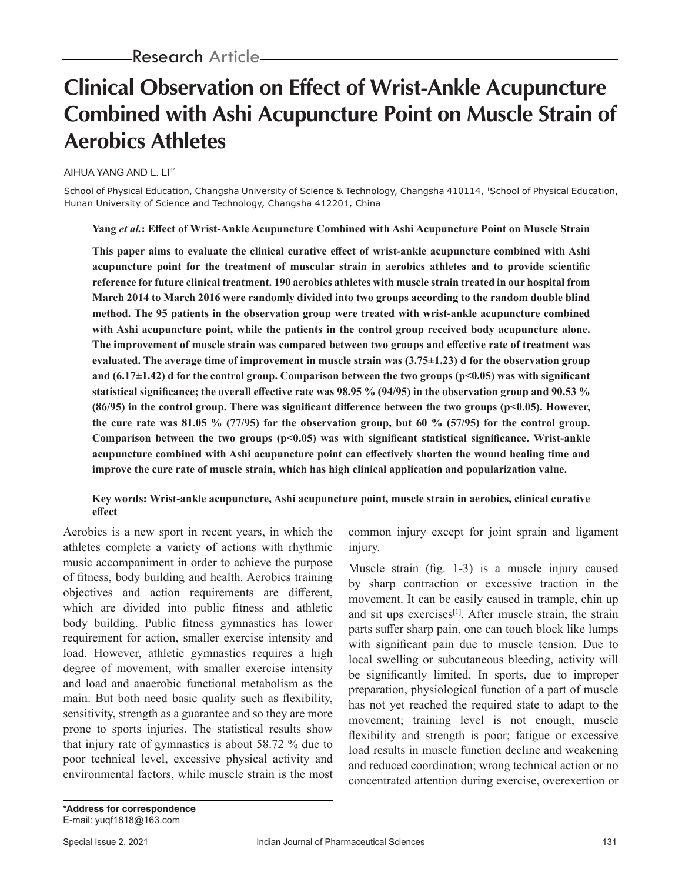# **Clinical Observation on Effect of Wrist-Ankle Acupuncture Combined with Ashi Acupuncture Point on Muscle Strain of Aerobics Athletes**

#### AIHUA YANG AND L. LI<sup>1\*</sup>

School of Physical Education, Changsha University of Science & Technology, Changsha 410114, 1School of Physical Education, Hunan University of Science and Technology, Changsha 412201, China

**Yang** *et al.***: Effect of Wrist-Ankle Acupuncture Combined with Ashi Acupuncture Point on Muscle Strain**

**This paper aims to evaluate the clinical curative effect of wrist-ankle acupuncture combined with Ashi acupuncture point for the treatment of muscular strain in aerobics athletes and to provide scientific reference for future clinical treatment. 190 aerobics athletes with muscle strain treated in our hospital from March 2014 to March 2016 were randomly divided into two groups according to the random double blind method. The 95 patients in the observation group were treated with wrist-ankle acupuncture combined with Ashi acupuncture point, while the patients in the control group received body acupuncture alone. The improvement of muscle strain was compared between two groups and effective rate of treatment was evaluated. The average time of improvement in muscle strain was (3.75±1.23) d for the observation group and (6.17±1.42) d for the control group. Comparison between the two groups (p<0.05) was with significant statistical significance; the overall effective rate was 98.95 % (94/95) in the observation group and 90.53 % (86/95) in the control group. There was significant difference between the two groups (p<0.05). However, the cure rate was 81.05 % (77/95) for the observation group, but 60 % (57/95) for the control group. Comparison between the two groups (p<0.05) was with significant statistical significance. Wrist-ankle acupuncture combined with Ashi acupuncture point can effectively shorten the wound healing time and improve the cure rate of muscle strain, which has high clinical application and popularization value.**

### **Key words: Wrist-ankle acupuncture, Ashi acupuncture point, muscle strain in aerobics, clinical curative effect**

Aerobics is a new sport in recent years, in which the athletes complete a variety of actions with rhythmic music accompaniment in order to achieve the purpose of fitness, body building and health. Aerobics training objectives and action requirements are different, which are divided into public fitness and athletic body building. Public fitness gymnastics has lower requirement for action, smaller exercise intensity and load. However, athletic gymnastics requires a high degree of movement, with smaller exercise intensity and load and anaerobic functional metabolism as the main. But both need basic quality such as flexibility, sensitivity, strength as a guarantee and so they are more prone to sports injuries. The statistical results show that injury rate of gymnastics is about 58.72 % due to poor technical level, excessive physical activity and environmental factors, while muscle strain is the most common injury except for joint sprain and ligament injury.

Muscle strain (fig. 1-3) is a muscle injury caused by sharp contraction or excessive traction in the movement. It can be easily caused in trample, chin up and sit ups exercises<sup>[1]</sup>. After muscle strain, the strain parts suffer sharp pain, one can touch block like lumps with significant pain due to muscle tension. Due to local swelling or subcutaneous bleeding, activity will be significantly limited. In sports, due to improper preparation, physiological function of a part of muscle has not yet reached the required state to adapt to the movement; training level is not enough, muscle flexibility and strength is poor; fatigue or excessive load results in muscle function decline and weakening and reduced coordination; wrong technical action or no concentrated attention during exercise, overexertion or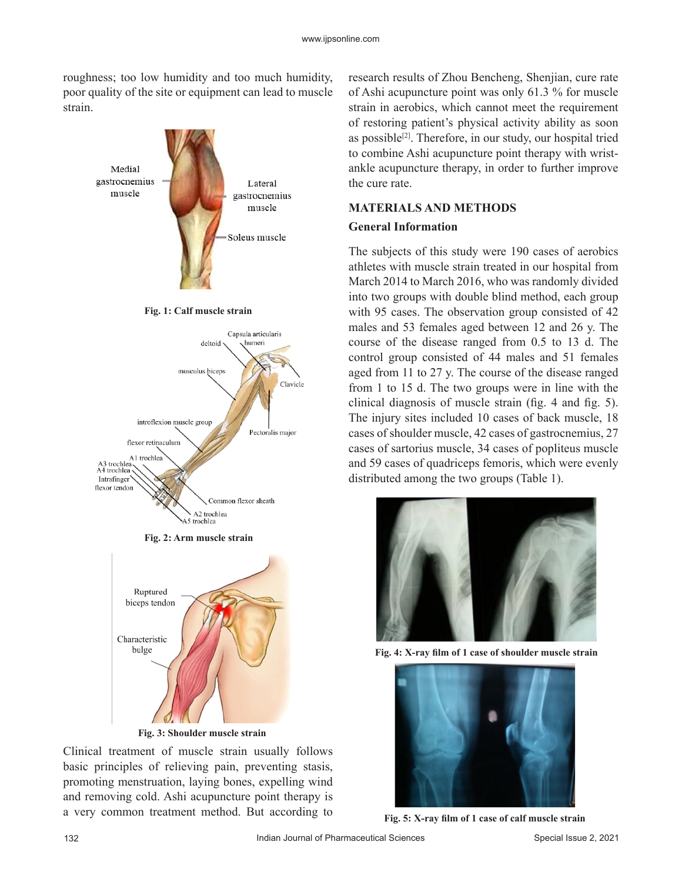roughness; too low humidity and too much humidity, poor quality of the site or equipment can lead to muscle strain.





**Fig. 3: Shoulder muscle strain**

Clinical treatment of muscle strain usually follows basic principles of relieving pain, preventing stasis, promoting menstruation, laying bones, expelling wind and removing cold. Ashi acupuncture point therapy is a very common treatment method. But according to

research results of Zhou Bencheng, Shenjian, cure rate of Ashi acupuncture point was only 61.3 % for muscle strain in aerobics, which cannot meet the requirement of restoring patient's physical activity ability as soon as possible<sup>[2]</sup>. Therefore, in our study, our hospital tried to combine Ashi acupuncture point therapy with wristankle acupuncture therapy, in order to further improve the cure rate.

## **MATERIALS AND METHODS General Information**

The subjects of this study were 190 cases of aerobics athletes with muscle strain treated in our hospital from March 2014 to March 2016, who was randomly divided into two groups with double blind method, each group with 95 cases. The observation group consisted of 42 males and 53 females aged between 12 and 26 y. The course of the disease ranged from 0.5 to 13 d. The control group consisted of 44 males and 51 females aged from 11 to 27 y. The course of the disease ranged from 1 to 15 d. The two groups were in line with the clinical diagnosis of muscle strain (fig. 4 and fig. 5). The injury sites included 10 cases of back muscle, 18 cases of shoulder muscle, 42 cases of gastrocnemius, 27 cases of sartorius muscle, 34 cases of popliteus muscle and 59 cases of quadriceps femoris, which were evenly distributed among the two groups (Table 1).



**Fig. 4: X-ray film of 1 case of shoulder muscle strain**



**Fig. 5: X-ray film of 1 case of calf muscle strain**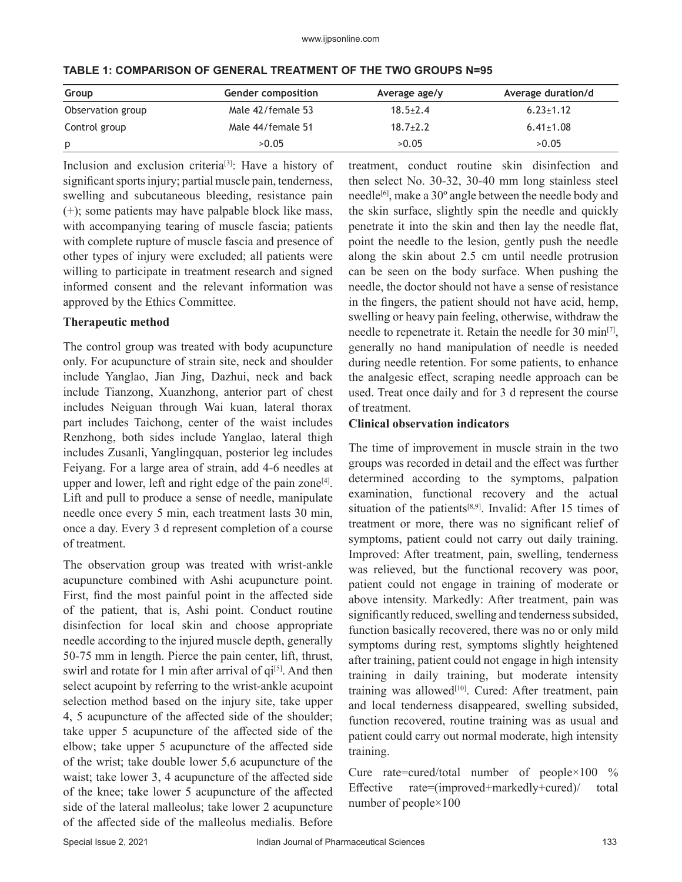| Group             | Gender composition | Average age/y  | Average duration/d |
|-------------------|--------------------|----------------|--------------------|
| Observation group | Male 42/female 53  | $18.5 \pm 2.4$ | $6.23 \pm 1.12$    |
| Control group     | Male 44/female 51  | $18.7 + 2.2$   | $6.41 \pm 1.08$    |
| p                 | >0.05              | >0.05          | >0.05              |

**TABLE 1: COMPARISON OF GENERAL TREATMENT OF THE TWO GROUPS N=95**

Inclusion and exclusion criteria<sup>[3]</sup>: Have a history of significant sports injury; partial muscle pain, tenderness, swelling and subcutaneous bleeding, resistance pain (+); some patients may have palpable block like mass, with accompanying tearing of muscle fascia; patients with complete rupture of muscle fascia and presence of other types of injury were excluded; all patients were willing to participate in treatment research and signed informed consent and the relevant information was approved by the Ethics Committee.

#### **Therapeutic method**

The control group was treated with body acupuncture only. For acupuncture of strain site, neck and shoulder include Yanglao, Jian Jing, Dazhui, neck and back include Tianzong, Xuanzhong, anterior part of chest includes Neiguan through Wai kuan, lateral thorax part includes Taichong, center of the waist includes Renzhong, both sides include Yanglao, lateral thigh includes Zusanli, Yanglingquan, posterior leg includes Feiyang. For a large area of strain, add 4-6 needles at upper and lower, left and right edge of the pain zone<sup>[4]</sup>. Lift and pull to produce a sense of needle, manipulate needle once every 5 min, each treatment lasts 30 min, once a day. Every 3 d represent completion of a course of treatment.

The observation group was treated with wrist-ankle acupuncture combined with Ashi acupuncture point. First, find the most painful point in the affected side of the patient, that is, Ashi point. Conduct routine disinfection for local skin and choose appropriate needle according to the injured muscle depth, generally 50-75 mm in length. Pierce the pain center, lift, thrust, swirl and rotate for 1 min after arrival of  $qi<sup>[5]</sup>$ . And then select acupoint by referring to the wrist-ankle acupoint selection method based on the injury site, take upper 4, 5 acupuncture of the affected side of the shoulder; take upper 5 acupuncture of the affected side of the elbow; take upper 5 acupuncture of the affected side of the wrist; take double lower 5,6 acupuncture of the waist; take lower 3, 4 acupuncture of the affected side of the knee; take lower 5 acupuncture of the affected side of the lateral malleolus; take lower 2 acupuncture of the affected side of the malleolus medialis. Before

treatment, conduct routine skin disinfection and then select No. 30-32, 30-40 mm long stainless steel needle<sup>[6]</sup>, make a 30° angle between the needle body and the skin surface, slightly spin the needle and quickly penetrate it into the skin and then lay the needle flat, point the needle to the lesion, gently push the needle along the skin about 2.5 cm until needle protrusion can be seen on the body surface. When pushing the needle, the doctor should not have a sense of resistance in the fingers, the patient should not have acid, hemp, swelling or heavy pain feeling, otherwise, withdraw the needle to repenetrate it. Retain the needle for 30 min<sup>[7]</sup>, generally no hand manipulation of needle is needed during needle retention. For some patients, to enhance the analgesic effect, scraping needle approach can be used. Treat once daily and for 3 d represent the course of treatment.

#### **Clinical observation indicators**

The time of improvement in muscle strain in the two groups was recorded in detail and the effect was further determined according to the symptoms, palpation examination, functional recovery and the actual situation of the patients<sup>[8,9]</sup>. Invalid: After 15 times of treatment or more, there was no significant relief of symptoms, patient could not carry out daily training. Improved: After treatment, pain, swelling, tenderness was relieved, but the functional recovery was poor, patient could not engage in training of moderate or above intensity. Markedly: After treatment, pain was significantly reduced, swelling and tenderness subsided, function basically recovered, there was no or only mild symptoms during rest, symptoms slightly heightened after training, patient could not engage in high intensity training in daily training, but moderate intensity training was allowed $[10]$ . Cured: After treatment, pain and local tenderness disappeared, swelling subsided, function recovered, routine training was as usual and patient could carry out normal moderate, high intensity training.

Cure rate=cured/total number of people×100 % Effective rate=(improved+markedly+cured)/ total number of people×100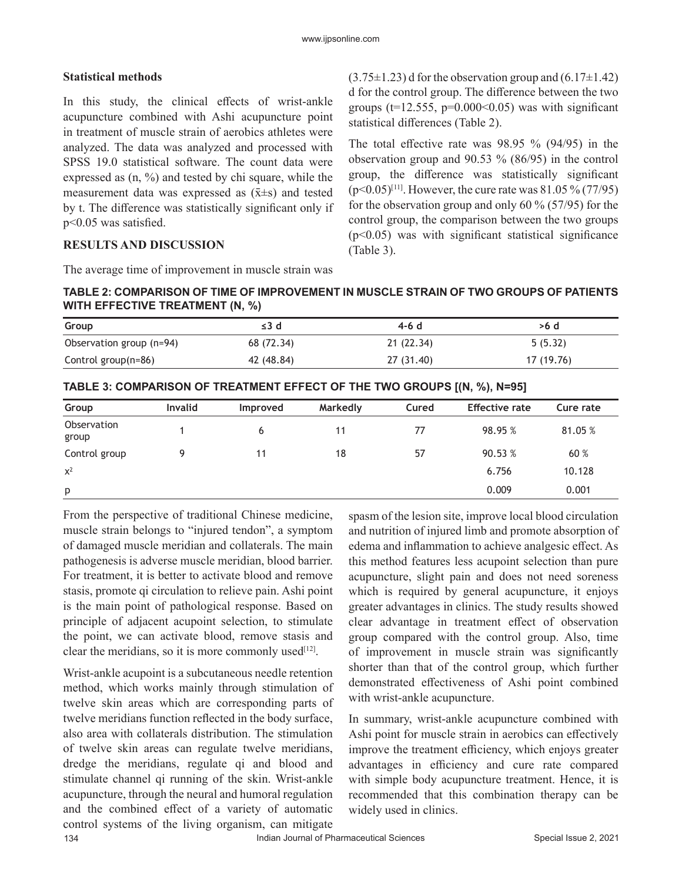## **Statistical methods**

In this study, the clinical effects of wrist-ankle acupuncture combined with Ashi acupuncture point in treatment of muscle strain of aerobics athletes were analyzed. The data was analyzed and processed with SPSS 19.0 statistical software. The count data were expressed as (n, %) and tested by chi square, while the measurement data was expressed as  $(\bar{x} \pm s)$  and tested by t. The difference was statistically significant only if p<0.05 was satisfied.

## **RESULTS AND DISCUSSION**

The average time of improvement in muscle strain was

 $(3.75\pm1.23)$  d for the observation group and  $(6.17\pm1.42)$ d for the control group. The difference between the two groups ( $t=12.555$ ,  $p=0.000<0.05$ ) was with significant statistical differences (Table 2).

The total effective rate was 98.95 % (94/95) in the observation group and 90.53 % (86/95) in the control group, the difference was statistically significant  $(p<0.05)^{[11]}$ . However, the cure rate was 81.05 % (77/95) for the observation group and only 60 % (57/95) for the control group, the comparison between the two groups  $(p<0.05)$  was with significant statistical significance (Table 3).

**TABLE 2: COMPARISON OF TIME OF IMPROVEMENT IN MUSCLE STRAIN OF TWO GROUPS OF PATIENTS WITH EFFECTIVE TREATMENT (N, %)**

| Group                    | $\leq$ 3 d | 4-6 d      | >6 d       |
|--------------------------|------------|------------|------------|
| Observation group (n=94) | 68 (72.34) | 21 (22.34) | 5(5.32)    |
| Control group(n=86)      | 42 (48.84) | 27 (31.40) | 17 (19.76) |

|                      |                |          |          |       | $\cdots$<br>. .       |           |
|----------------------|----------------|----------|----------|-------|-----------------------|-----------|
| Group                | <b>Invalid</b> | Improved | Markedly | Cured | <b>Effective rate</b> | Cure rate |
| Observation<br>group |                | 6        | 11       | 77    | 98.95 %               | 81.05 %   |
| Control group        | Q              | 11       | 18       | 57    | 90.53 %               | 60 %      |
| $x^2$                |                |          |          |       | 6.756                 | 10.128    |
| p                    |                |          |          |       | 0.009                 | 0.001     |

From the perspective of traditional Chinese medicine, muscle strain belongs to "injured tendon", a symptom of damaged muscle meridian and collaterals. The main pathogenesis is adverse muscle meridian, blood barrier. For treatment, it is better to activate blood and remove stasis, promote qi circulation to relieve pain. Ashi point is the main point of pathological response. Based on principle of adjacent acupoint selection, to stimulate the point, we can activate blood, remove stasis and clear the meridians, so it is more commonly used $[12]$ .

134 **Indian Journal of Pharmaceutical Sciences** Special Issue 2, 2021 Wrist-ankle acupoint is a subcutaneous needle retention method, which works mainly through stimulation of twelve skin areas which are corresponding parts of twelve meridians function reflected in the body surface, also area with collaterals distribution. The stimulation of twelve skin areas can regulate twelve meridians, dredge the meridians, regulate qi and blood and stimulate channel qi running of the skin. Wrist-ankle acupuncture, through the neural and humoral regulation and the combined effect of a variety of automatic control systems of the living organism, can mitigate

spasm of the lesion site, improve local blood circulation and nutrition of injured limb and promote absorption of edema and inflammation to achieve analgesic effect. As this method features less acupoint selection than pure acupuncture, slight pain and does not need soreness which is required by general acupuncture, it enjoys greater advantages in clinics. The study results showed clear advantage in treatment effect of observation group compared with the control group. Also, time of improvement in muscle strain was significantly shorter than that of the control group, which further demonstrated effectiveness of Ashi point combined with wrist-ankle acupuncture.

In summary, wrist-ankle acupuncture combined with Ashi point for muscle strain in aerobics can effectively improve the treatment efficiency, which enjoys greater advantages in efficiency and cure rate compared with simple body acupuncture treatment. Hence, it is recommended that this combination therapy can be widely used in clinics.